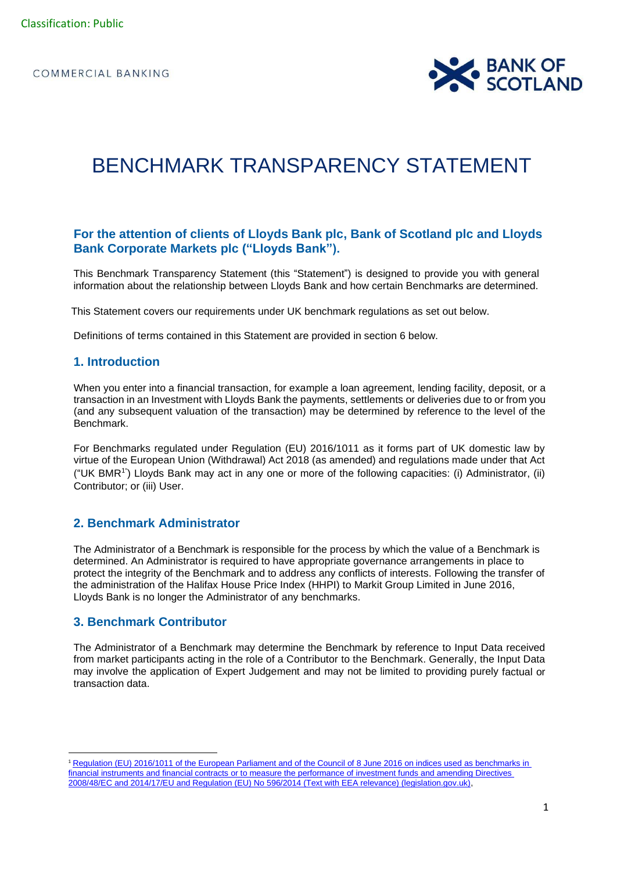

# BENCHMARK TRANSPARENCY STATEMENT

# **For the attention of clients of Lloyds Bank plc, Bank of Scotland plc and Lloyds Bank Corporate Markets plc ("Lloyds Bank").**

This Benchmark Transparency Statement (this "Statement") is designed to provide you with general information about the relationship between Lloyds Bank and how certain Benchmarks are determined.

This Statement covers our requirements under UK benchmark regulations as set out below.

Definitions of terms contained in this Statement are provided in section 6 below.

## **1. Introduction**

When you enter into a financial transaction, for example a loan agreement, lending facility, deposit, or a transaction in an Investment with Lloyds Bank the payments, settlements or deliveries due to or from you (and any subsequent valuation of the transaction) may be determined by reference to the level of the Benchmark.

For Benchmarks regulated under Regulation (EU) 2016/1011 as it forms part of UK domestic law by virtue of the European Union (Withdrawal) Act 2018 (as amended) and regulations made under that Act ("UK BMR<sup>1</sup>") Lloyds Bank may act in any one or more of the following capacities: (i) Administrator, (ii) Contributor; or (iii) User.

## **2. Benchmark Administrator**

The Administrator of a Benchmark is responsible for the process by which the value of a Benchmark is determined. An Administrator is required to have appropriate governance arrangements in place to protect the integrity of the Benchmark and to address any conflicts of interests. Following the transfer of the administration of the Halifax House Price Index (HHPI) to Markit Group Limited in June 2016, Lloyds Bank is no longer the Administrator of any benchmarks.

#### **3. Benchmark Contributor**

The Administrator of a Benchmark may determine the Benchmark by reference to Input Data received from market participants acting in the role of a Contributor to the Benchmark. Generally, the Input Data may involve the application of Expert Judgement and may not be limited to providing purely factual or transaction data.

<sup>1</sup> [Regulation \(EU\) 2016/1011 of the European Parliament and of the Council of 8 June 2016 on indices used as benchmarks in](https://www.legislation.gov.uk/eur/2016/1011/contents)  [financial instruments and financial contracts or to measure the performance of investment funds and amending Directives](https://www.legislation.gov.uk/eur/2016/1011/contents)  [2008/48/EC and 2014/17/EU and Regulation \(EU\) No 596/2014 \(Text with EEA relevance\) \(legislation.gov.uk\),](https://www.legislation.gov.uk/eur/2016/1011/contents)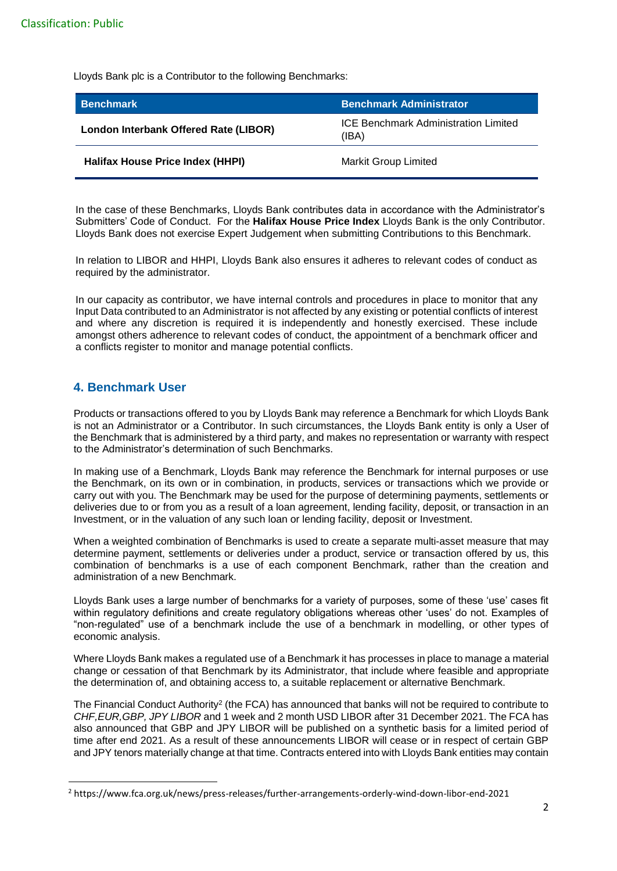Lloyds Bank plc is a Contributor to the following Benchmarks:

| <b>Benchmark</b>                        | <b>Benchmark Administrator</b>                       |
|-----------------------------------------|------------------------------------------------------|
| London Interbank Offered Rate (LIBOR)   | <b>ICE Benchmark Administration Limited</b><br>(IBA) |
| <b>Halifax House Price Index (HHPI)</b> | <b>Markit Group Limited</b>                          |

In the case of these Benchmarks, Lloyds Bank contributes data in accordance with the Administrator's Submitters' Code of Conduct. For the **Halifax House Price Index** Lloyds Bank is the only Contributor. Lloyds Bank does not exercise Expert Judgement when submitting Contributions to this Benchmark.

In relation to LIBOR and HHPI, Lloyds Bank also ensures it adheres to relevant codes of conduct as required by the administrator.

In our capacity as contributor, we have internal controls and procedures in place to monitor that any Input Data contributed to an Administrator is not affected by any existing or potential conflicts of interest and where any discretion is required it is independently and honestly exercised. These include amongst others adherence to relevant codes of conduct, the appointment of a benchmark officer and a conflicts register to monitor and manage potential conflicts.

# **4. Benchmark User**

Products or transactions offered to you by Lloyds Bank may reference a Benchmark for which Lloyds Bank is not an Administrator or a Contributor. In such circumstances, the Lloyds Bank entity is only a User of the Benchmark that is administered by a third party, and makes no representation or warranty with respect to the Administrator's determination of such Benchmarks.

In making use of a Benchmark, Lloyds Bank may reference the Benchmark for internal purposes or use the Benchmark, on its own or in combination, in products, services or transactions which we provide or carry out with you. The Benchmark may be used for the purpose of determining payments, settlements or deliveries due to or from you as a result of a loan agreement, lending facility, deposit, or transaction in an Investment, or in the valuation of any such loan or lending facility, deposit or Investment.

When a weighted combination of Benchmarks is used to create a separate multi-asset measure that may determine payment, settlements or deliveries under a product, service or transaction offered by us, this combination of benchmarks is a use of each component Benchmark, rather than the creation and administration of a new Benchmark.

Lloyds Bank uses a large number of benchmarks for a variety of purposes, some of these 'use' cases fit within regulatory definitions and create regulatory obligations whereas other 'uses' do not. Examples of "non-regulated" use of a benchmark include the use of a benchmark in modelling, or other types of economic analysis.

Where Lloyds Bank makes a regulated use of a Benchmark it has processes in place to manage a material change or cessation of that Benchmark by its Administrator, that include where feasible and appropriate the determination of, and obtaining access to, a suitable replacement or alternative Benchmark.

The Financial Conduct Authority<sup>2</sup> (the FCA) has announced that banks will not be required to contribute to *CHF,EUR,GBP, JPY LIBOR* and 1 week and 2 month USD LIBOR after 31 December 2021. The FCA has also announced that GBP and JPY LIBOR will be published on a synthetic basis for a limited period of time after end 2021. As a result of these announcements LIBOR will cease or in respect of certain GBP and JPY tenors materially change at that time. Contracts entered into with Lloyds Bank entities may contain

<sup>2</sup> https://www.fca.org.uk/news/press-releases/further-arrangements-orderly-wind-down-libor-end-2021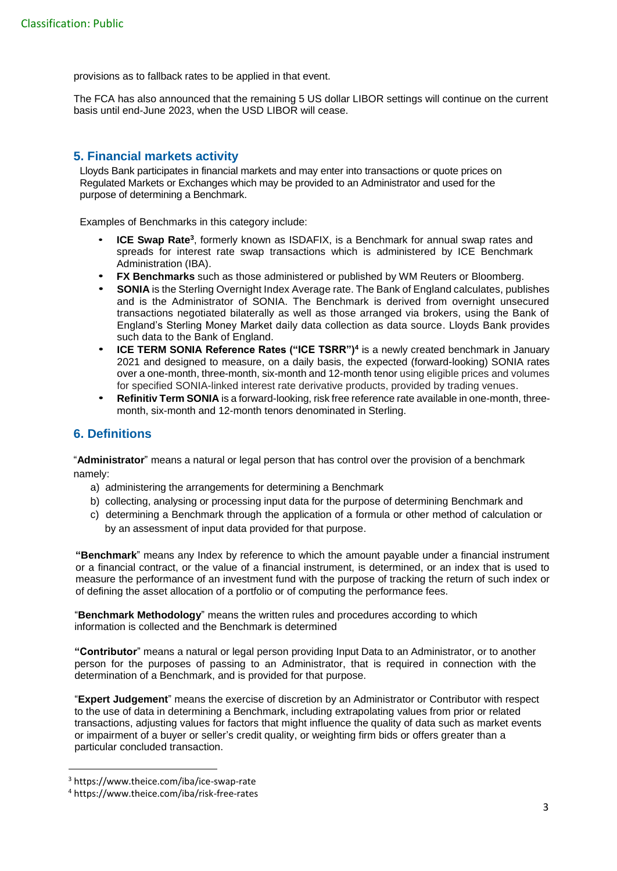provisions as to fallback rates to be applied in that event.

The FCA has also announced that the remaining 5 US dollar LIBOR settings will continue on the current basis until end-June 2023, when the USD LIBOR will cease.

# **5. Financial markets activity**

Lloyds Bank participates in financial markets and may enter into transactions or quote prices on Regulated Markets or Exchanges which may be provided to an Administrator and used for the purpose of determining a Benchmark.

Examples of Benchmarks in this category include:

- **ICE Swap Rate**<sup>3</sup>, formerly known as ISDAFIX, is a Benchmark for annual swap rates and spreads for interest rate swap transactions which is administered by ICE Benchmark Administration (IBA).
- **FX Benchmarks** such as those administered or published by WM Reuters or Bloomberg.
- **SONIA** is the Sterling Overnight Index Average rate. The Bank of England calculates, publishes and is the Administrator of SONIA. The Benchmark is derived from overnight unsecured transactions negotiated bilaterally as well as those arranged via brokers, using the Bank of England's Sterling Money Market daily data collection as data source. Lloyds Bank provides such data to the Bank of England.
- **ICE TERM SONIA Reference Rates ("ICE TSRR")<sup>4</sup>** is a newly created benchmark in January 2021 and designed to measure, on a daily basis, the expected (forward-looking) SONIA rates over a one-month, three-month, six-month and 12-month tenor using eligible prices and volumes for specified SONIA-linked interest rate derivative products, provided by trading venues.
- **Refinitiv Term SONIA** is a forward-looking, risk free reference rate available in one-month, threemonth, six-month and 12-month tenors denominated in Sterling.

## **6. Definitions**

"**Administrator**" means a natural or legal person that has control over the provision of a benchmark namely:

- a) administering the arrangements for determining a Benchmark
- b) collecting, analysing or processing input data for the purpose of determining Benchmark and
- c) determining a Benchmark through the application of a formula or other method of calculation or by an assessment of input data provided for that purpose.

**"Benchmark**" means any Index by reference to which the amount payable under a financial instrument or a financial contract, or the value of a financial instrument, is determined, or an index that is used to measure the performance of an investment fund with the purpose of tracking the return of such index or of defining the asset allocation of a portfolio or of computing the performance fees.

"**Benchmark Methodology**" means the written rules and procedures according to which information is collected and the Benchmark is determined

**"Contributor**" means a natural or legal person providing Input Data to an Administrator, or to another person for the purposes of passing to an Administrator, that is required in connection with the determination of a Benchmark, and is provided for that purpose.

"**Expert Judgement**" means the exercise of discretion by an Administrator or Contributor with respect to the use of data in determining a Benchmark, including extrapolating values from prior or related transactions, adjusting values for factors that might influence the quality of data such as market events or impairment of a buyer or seller's credit quality, or weighting firm bids or offers greater than a particular concluded transaction.

<sup>3</sup> https://www.theice.com/iba/ice-swap-rate

<sup>4</sup> https://www.theice.com/iba/risk-free-rates